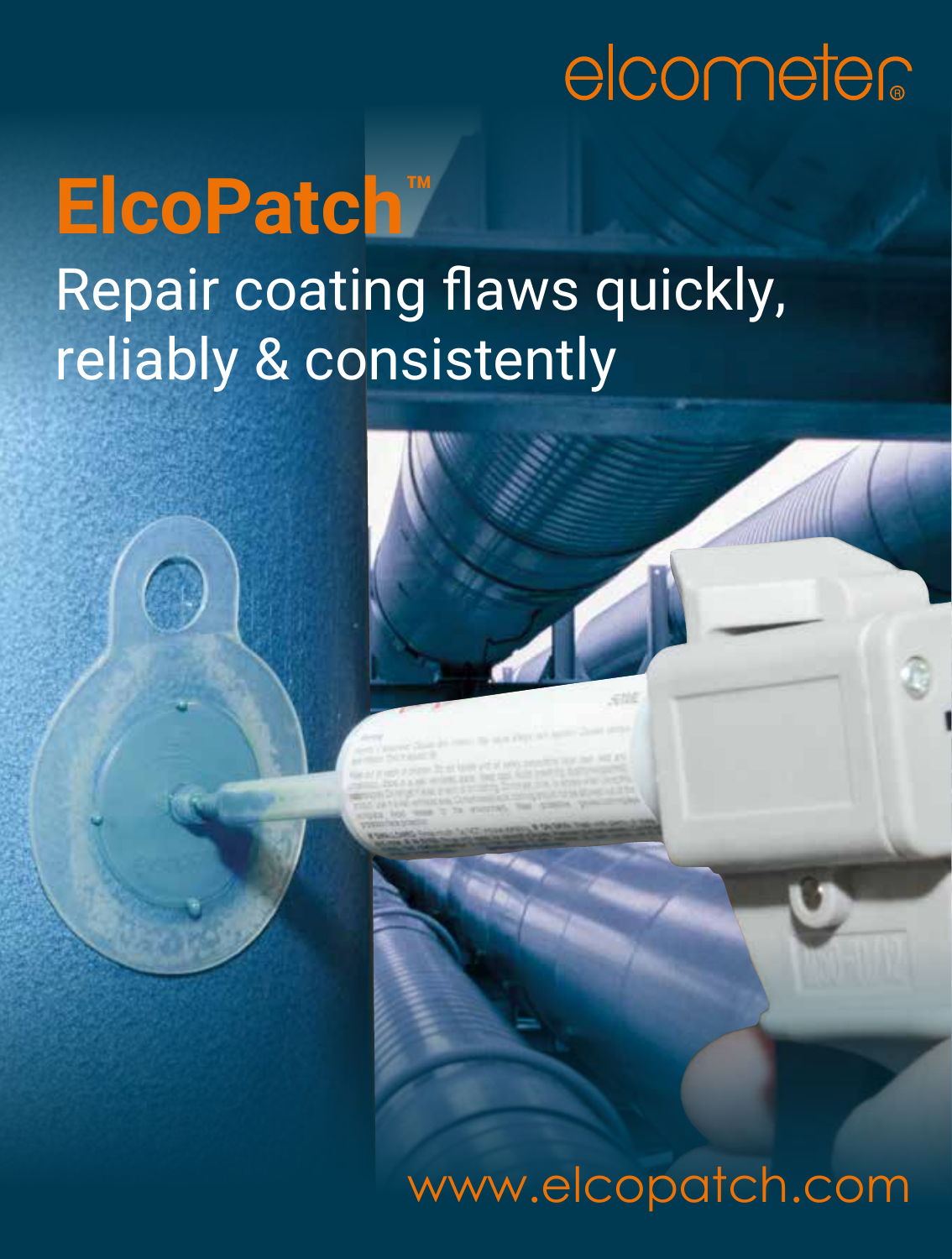# elcometer

## **ElcoPatch™**  Repair coating flaws quickly, reliably & consistently

## www.elcopatch.com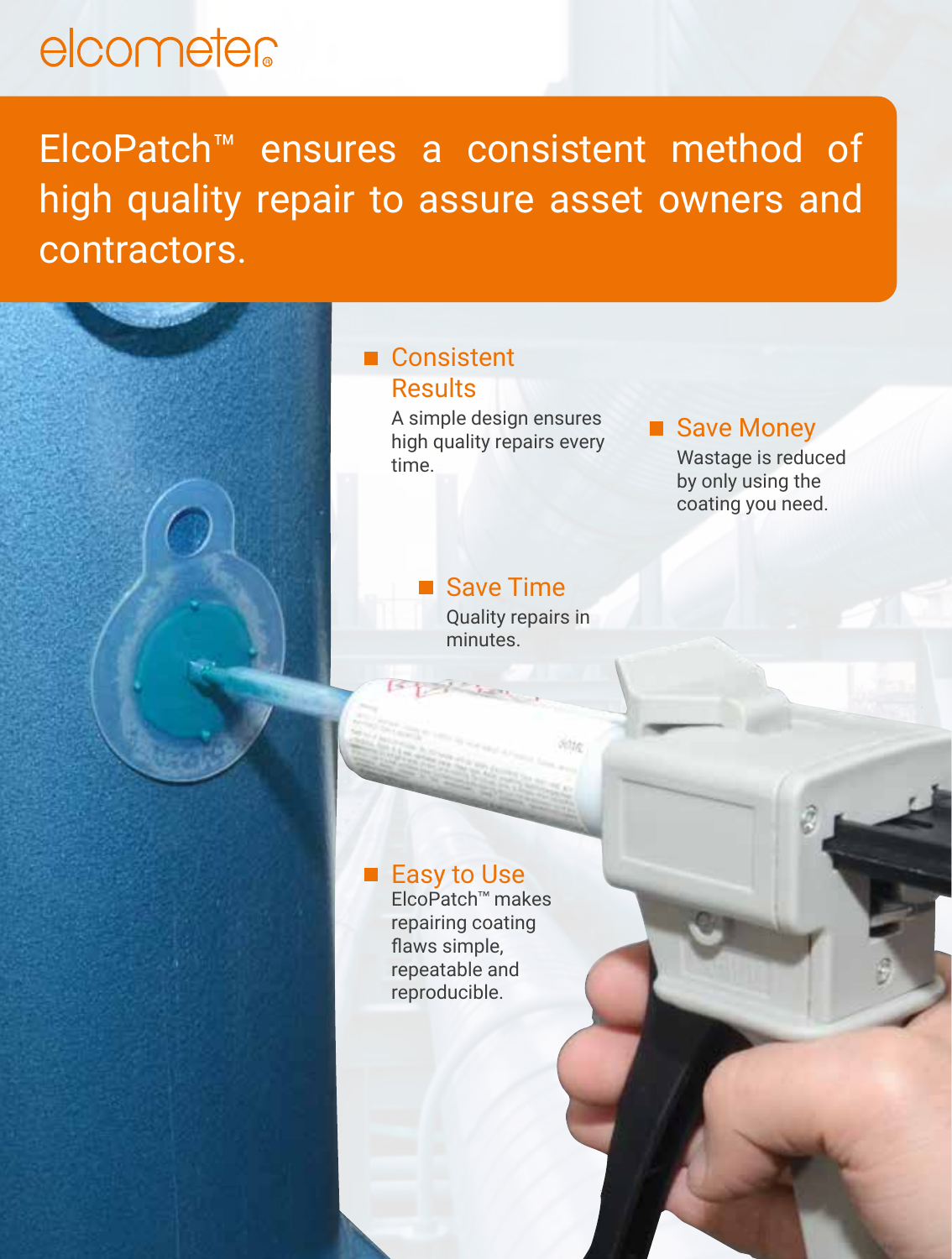### elcometer

ElcoPatch™ ensures a consistent method of high quality repair to assure asset owners and contractors.

### ■ Consistent **Results**

A simple design ensures high quality repairs every time.

### ■ Save Money

Wastage is reduced by only using the coating you need.

### ■ Save Time

Quality repairs in minutes.

sitte.

### Easy to Use

ElcoPatch™ makes repairing coating flaws simple, repeatable and reproducible.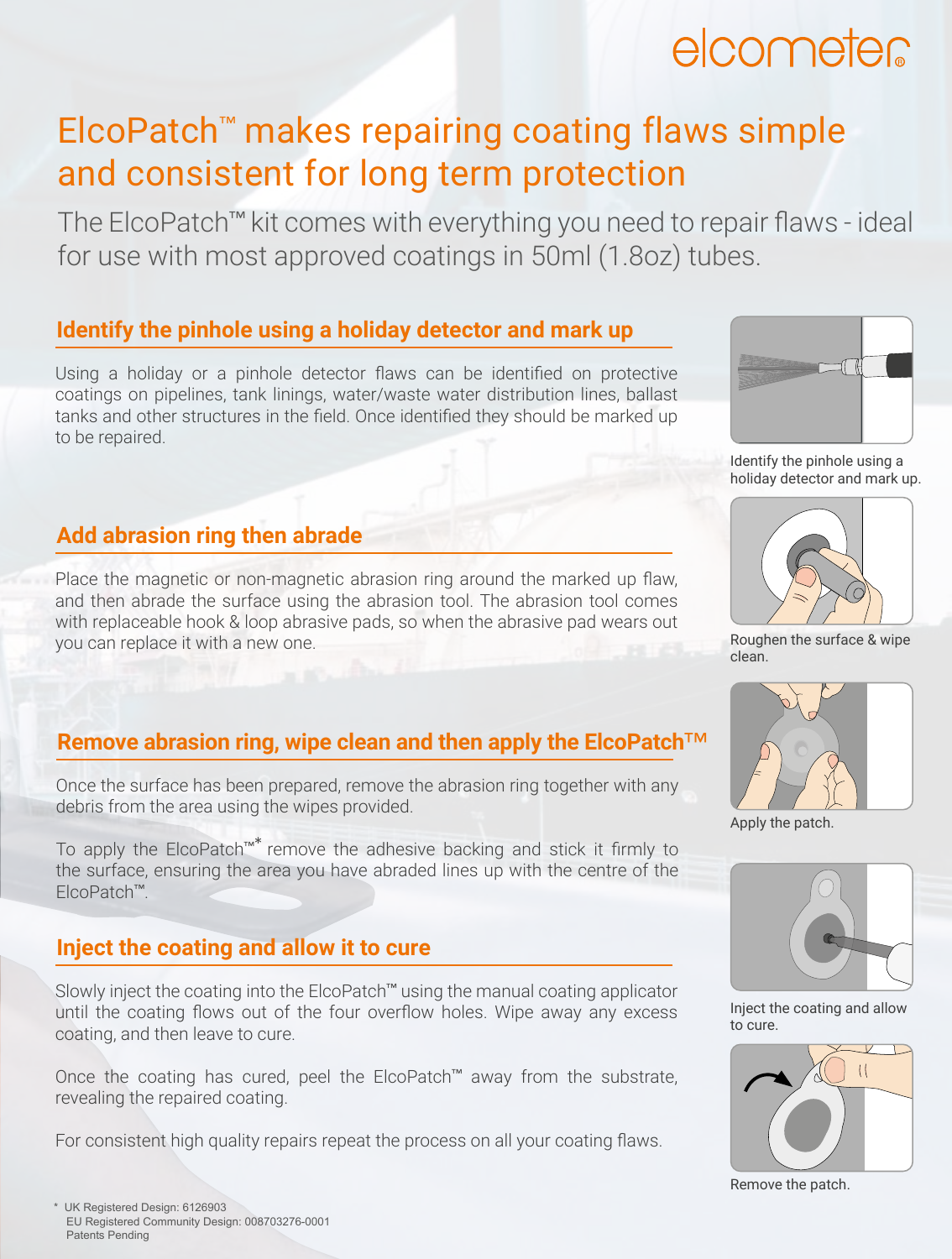### elcometer

### ElcoPatch™ makes repairing coating flaws simple and consistent for long term protection

The ElcoPatch™ kit comes with everything you need to repair flaws - ideal for use with most approved coatings in 50ml (1.8oz) tubes.

### **Identify the pinhole using a holiday detector and mark up**

Using a holiday or a pinhole detector flaws can be identified on protective coatings on pipelines, tank linings, water/waste water distribution lines, ballast tanks and other structures in the field. Once identified they should be marked up to be repaired.



Identify the pinhole using a holiday detector and mark up.

### **Add abrasion ring then abrade**

Place the magnetic or non-magnetic abrasion ring around the marked up flaw, and then abrade the surface using the abrasion tool. The abrasion tool comes with replaceable hook & loop abrasive pads, so when the abrasive pad wears out you can replace it with a new one.

#### **Remove abrasion ring, wipe clean and then apply the ElcoPatch**™

Once the surface has been prepared, remove the abrasion ring together with any debris from the area using the wipes provided.

To apply the ElcoPatch™\* remove the adhesive backing and stick it firmly to the surface, ensuring the area you have abraded lines up with the centre of the ElcoPatch™.

#### **Inject the coating and allow it to cure**

Slowly inject the coating into the ElcoPatch™ using the manual coating applicator until the coating flows out of the four overflow holes. Wipe away any excess coating, and then leave to cure.

Once the coating has cured, peel the ElcoPatch™ away from the substrate, revealing the repaired coating.

For consistent high quality repairs repeat the process on all your coating flaws.



Roughen the surface & wipe clean.



Apply the patch.



Inject the coating and allow to cure.



Remove the patch.

\* UK Registered Design: 6126903 EU Registered Community Design: 008703276-0001 Patents Pending